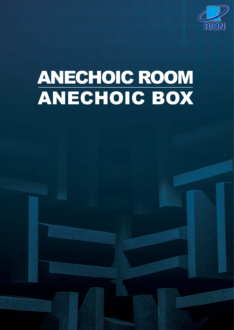

# ANECHOIC BOX ANECHOIC ROOM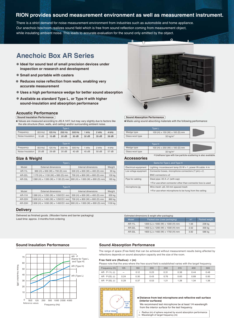### **RION provides sound measurement environment as well as measurement instrument.**

There is a strict demand for noise measurement environment from industries such as automobile and home appliance. Our anechoic box/room realizes sound field which is free from sound reflection coming from measurement object, while insulating ambient noise. This leads to accurate evaluation for the sound only emitted by the object.

## **Anechoic Box AR Series**

- **Ideal for sound test of small precision devices under inspection or research and development**
- **Small and portable with casters**
- **Reduces noise reflection from walls, enabling very accurate measurement**
- **Uses a high performance wedge for better sound absorption**
- **Available as standard Type L, or Type H with higher sound-insulation and absorption performance**

#### **Acoustic Performance**

#### **Sound Insulation Performance**

Values are measured according to JIS A 1417, but may vary slightly due to factors like the site structure (floor, walls, and ceiling) and/or surrounding ambient noise.

| <b>Type L</b>    |         |        |        |        |       |       |       |
|------------------|---------|--------|--------|--------|-------|-------|-------|
| Frequency        | (63 Hz) | 125 Hz | 250 Hz | 500 Hz | 1 kHz | 2 kHz | 4 kHz |
| Noise Insulation | 10dB    | 15dB   | 20dB   | 30 dB  | 32 dB | 35 dB | 39 dB |
|                  |         |        |        |        |       |       |       |

| Tvpe H'          |         |        |        |        |       |       |       |
|------------------|---------|--------|--------|--------|-------|-------|-------|
| Frequency        | (63 Hz) | 125 Hz | 250 Hz | 500 Hz | 1 kHz | 2 kHz | 4 kHz |
| Noise Insulation | 25dB    | 29dB   | 35 dB  | 40 dB  | 45 dB | 50 dB | 57 dB |

#### **Size & Weight**

| Tvpe L |               |                                                 |                                                 |        |  |
|--------|---------------|-------------------------------------------------|-------------------------------------------------|--------|--|
|        | Model         | External dimensions                             | Internal dimensions                             | Weight |  |
|        | <b>AR-11L</b> | 960 (H) × 930 (W) × 730 (D) mm                  | 500 (H) $\times$ 600 (W) $\times$ 400 (D) mm    | 90 kg  |  |
|        | <b>AR-22L</b> | 1170 (H) $\times$ 1130 (W) $\times$ 930 (D) mm  | 700 (H) $\times$ 800 (W) $\times$ 600 (D) mm    | 130 kg |  |
|        | AR-33L        | 1380 (H) $\times$ 1330 (W) $\times$ 1130 (D) mm | $900$ (H) $\times$ 1000 (W) $\times$ 800 (D) mm | 185 kg |  |

| Type H        |                                                                   |                                              |         |  |  |  |
|---------------|-------------------------------------------------------------------|----------------------------------------------|---------|--|--|--|
| Model         | <b>External dimensions</b>                                        | Internal dimensions                          | Weight  |  |  |  |
| <b>AR-11H</b> | 1380 (H) $\times$ 1250 (W) $\times$ 1050 (D) mm                   | 500 (H) $\times$ 600 (W) $\times$ 400 (D) mm | 630 kg  |  |  |  |
| <b>AR-22H</b> | 1600 (H) x 1450 (W) x 1250 (D) mm 700 (H) x 800 (W) x 600 (D) mm  |                                              | 860 kg  |  |  |  |
| <b>AR-33H</b> | 1900 (H) x 1650 (W) x 1450 (D) mm 900 (H) x 1000 (W) x 800 (D) mm |                                              | 1130 kg |  |  |  |

#### **Delivery**

Delivered as finished goods. (Wooden frame and barrier packaging) Lead time: approx. 3 months from ordering

#### **Sound Absorption Performance**

 $\bullet$  Made using sound-absorbing materials with the following performance:

| Wedge type      | 100 (H) $\times$ 150 (W) $\times$ 100 (D) mm |  |
|-----------------|----------------------------------------------|--|
| Glass wool type | $32$ kg/m <sup>3</sup>                       |  |
|                 |                                              |  |
|                 |                                              |  |

|                 | <b>IVDE II</b>                                                 |  |
|-----------------|----------------------------------------------------------------|--|
| Wedge type      | 100 (H) $\times$ 250 (W) $\times$ 100 (D) mm                   |  |
| Glass wool type | $32 \text{ ka/m}^3$                                            |  |
|                 | *Urethane type with low particle-scattering is also available. |  |

#### **Accessories**

| Same for Type L and Type H                                                               |                                                          |  |  |  |  |
|------------------------------------------------------------------------------------------|----------------------------------------------------------|--|--|--|--|
| Lighting: incandescent lamp 25 W $\times$ 1, power IN cable: 4 m<br>Electrical equipment |                                                          |  |  |  |  |
| Connector boxes, microphone connectors (7 pin) $\times$ 2,<br>Low voltage equipment      |                                                          |  |  |  |  |
|                                                                                          | BNC connectors x2                                        |  |  |  |  |
| Pipe for cabling                                                                         | Steel pipe: $40 A \times 1$ (with cap)                   |  |  |  |  |
|                                                                                          | *For use when connector other than connector box is used |  |  |  |  |
| microphone jig                                                                           | Wire mesh: $\phi$ 3, 50 mm spaced mesh                   |  |  |  |  |
|                                                                                          | *For use when microphone to be hung from the ceiling     |  |  |  |  |

| Estimated dimensions & weight after packaging: |                                   |                |               |  |  |  |
|------------------------------------------------|-----------------------------------|----------------|---------------|--|--|--|
| Model                                          | Packed size (case packaging)      | m <sup>3</sup> | Packed weight |  |  |  |
| $AR-11L$                                       | 1200 (L) x 1000 (W) × 1300 (H) mm | 1.56           | 238 kg        |  |  |  |
| AR-22L                                         | 1400 (L) x 1200 (W) × 1500 (H) mm | 2.52           | 356 kg        |  |  |  |
| $AR-33L$                                       | 1600 (L) x 1400 (W) × 1750 (H) mm | 3.92           | 586 kg        |  |  |  |



#### **Sound Insulation Performance Sound Absorption Performance**

The range of space (Free-field) that can be achieved without measurement results being affected by reflections depends on sound absorption capacity and the size of the room.

#### **Free field are (Radius): r (m)**

Please note that the area where the free sound field is established varies with the target frequency.

| Frequency (H)         | 125                      | 160  | 200  | 250  | 315  | 400  | 500  |
|-----------------------|--------------------------|------|------|------|------|------|------|
| $AR \cdot P - 11L(r)$ | $\overline{\phantom{0}}$ | 0.12 | 0.23 | 0.31 | 0.38 | 0.44 | 0.48 |
| $AR \cdot P-22L(r)$   | 0.24                     | 0.30 | 0.43 | 0.76 | 0.83 | 0.89 | 0.93 |
| $AR \cdot P - 33L(r)$ | 0.29                     | 0.37 | 0.53 | 1.21 | 1.28 | 1.34 | 1.38 |



#### **Distance from test microphone and reflective wall surface (interior surfaces)**

We recommend test microphone be at least 1/4 wavelength from the interior surface for the test frequency.

 r : Radius (m) of sphere required by sound absorption performance λ : Wavelength of target frequency (m)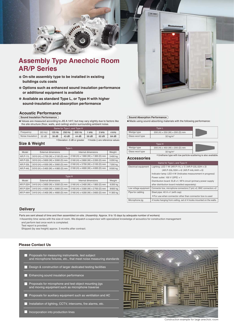

# **Assembly Type Anechoic Room AR/P Series**

- **On-site assembly type to be installed in existing buildings cuts costs**
- **Options such as enhanced sound insulation performance or additional equipment is available**
- **Available as standard Type L, or Type H with higher sound-insulation and absorption performance**

#### **Acoustic Performance**

**Sound Insulation Performance**

 $\overline{\bullet}$  Values are measured according to JIS A 1417, but may vary slightly due to factors like the site structure (floor, walls, and ceiling) and/or surrounding ambient noise.

|                             | Same for Type L and Type H |         |          |        |                                 |       |         |       |
|-----------------------------|----------------------------|---------|----------|--------|---------------------------------|-------|---------|-------|
|                             | Frequency                  | (63 Hz) | $125$ Hz | 250 Hz | 500 Hz                          | 1 kHz | $2$ kHz | 4 kHz |
|                             | Noise Insulation           | 32 dB   | 39 dB    | 43 dB  | 44 dB                           | 56 dB | 62 dB   | 64 dB |
| *Deviation -3 dB or greater |                            |         |          |        | *Inside () are reference values |       |         |       |

#### **Size & Weight**

| Type L          |                                                  |                                                   |         |  |  |  |
|-----------------|--------------------------------------------------|---------------------------------------------------|---------|--|--|--|
| Model           | External dimensions                              | Internal dimensions                               | Weight  |  |  |  |
| <b>AR.P-11L</b> | 3010 (H) × 2700 (W) × 2100 (D) mm                | $2160$ (H) $\times$ 1900 (W) $\times$ 1300 (D) mm | 3400 kg |  |  |  |
| AR.P-22L        | 3010 (H) × 3600 (W) × 3000 (D) mm                | 2160 (H) × 2800 (W) × 2200 (D) mm                 | 5200 kg |  |  |  |
| AR.P-33L        | 3010 (H) x 4500 (W) x 3900 (D) mm                | 2160 (H) × 3700 (W) × 3100 (D) mm                 | 7200 kg |  |  |  |
| AR.P-44L        | 3010 (H) $\times$ 5400 (W) $\times$ 4 800 (D) mm | 2160 (H) $\times$ 4600 (W) $\times$ 4000 (D) mm   | 9500 kg |  |  |  |

| Type H     |                                                   |                                                   |           |
|------------|---------------------------------------------------|---------------------------------------------------|-----------|
| Model      | External dimensions                               | Internal dimensions                               | Weight    |
|            | AR.P-22H 3410 (H) x 3600 (W) x 3000 (D) mm        | $2160$ (H) $\times$ 2400 (W) $\times$ 1800 (D) mm | 6200 kg   |
|            | AR.P-33H 3410 (H) x 4500 (W) x 3900 (D) mm        | 2160 (H) x 3300 (W) x 2700 (D) mm                 | 8600 kg   |
| $AR.P-44H$ | $3410$ (H) $\times$ 5400 (W) $\times$ 4800 (D) mm | 2160 (H) $\times$ 4200 (W) $\times$ 3600 (D) mm   | 11 300 kg |



#### **Sound Absorption Performance**

Made using sound-absorbing materials with the following performance:

| Wedge type      | 200 (H) $\times$ 250 (W) $\times$ 200 (D) mm |  |
|-----------------|----------------------------------------------|--|
| Glass wool type | $32$ kg/m <sup>3</sup>                       |  |
|                 |                                              |  |

|                 | Tvpe H                                                         |  |
|-----------------|----------------------------------------------------------------|--|
| Wedge type      | 200 (H) $\times$ 450 (W) $\times$ 200 (D) mm                   |  |
| Glass wool type | $32 \text{ ka/m}^3$                                            |  |
|                 | *Urethane type with low particle-scattering is also available. |  |

**Accessories**

|                       | Same for Type L and Type H                                         |  |  |  |
|-----------------------|--------------------------------------------------------------------|--|--|--|
| Electrical equipment  | Lighting: LED 7 W (AR.P-11L x 1) (AR.P-22L/22H x 2)                |  |  |  |
|                       | $(AR.P-33L/33H \times 4)$ $(AR.P-44L/44H \times 6)$                |  |  |  |
|                       | Indicator lamp: LED 4 W (Indicates measurement in progress)        |  |  |  |
|                       | Power outlet: 100 V (2PE) $\times$ 1                               |  |  |  |
|                       | Distribution board: ELB x1, NF4 circuit (primary power supply      |  |  |  |
|                       | after distribution board installed separately)                     |  |  |  |
| Low voltage equipment | Connector box, microphone connectors (7 pin) x2, BNC connectors x2 |  |  |  |
| Pipe for cabling      | Steel pipe: $40 A \times 1$ (with cap)                             |  |  |  |
|                       | *For use when connector other than connector box is used           |  |  |  |
| Microphone jig        | 4 hooks hanging from ceiling, set of 4 hooks mounted on the walls. |  |  |  |

#### **Delivery**

Parts are sent ahead of time and then assembled on-site. (Assembly: Approx. 9 to 15 days by adequate number of workers)

\*Assembly time varies with the size of room. We dispatch a supervisor with specialized knowledge of acoustics for construction management and perform test once work is completed.

Test report is provided.

Shipped (by sea freight) approx. 3 months after contract.

#### **Please Contact Us**

| Proposals for measuring instruments, test subject<br>and microphone fixtures, etc., that meet noise measuring standards |
|-------------------------------------------------------------------------------------------------------------------------|
| Design & construction of larger dedicated testing facilities                                                            |
| Enhancing sound insulation performance                                                                                  |
| Proposals for microphone and test object mounting jigs<br>and moving equipment such as microphone traverse              |
| Proposals for auxiliary equipment such as ventilation and AC                                                            |
| Installation of lighting, CCTV, intercoms, fire alarms, etc.                                                            |
| Incorporation into production lines                                                                                     |



Construction example for large anechoic room